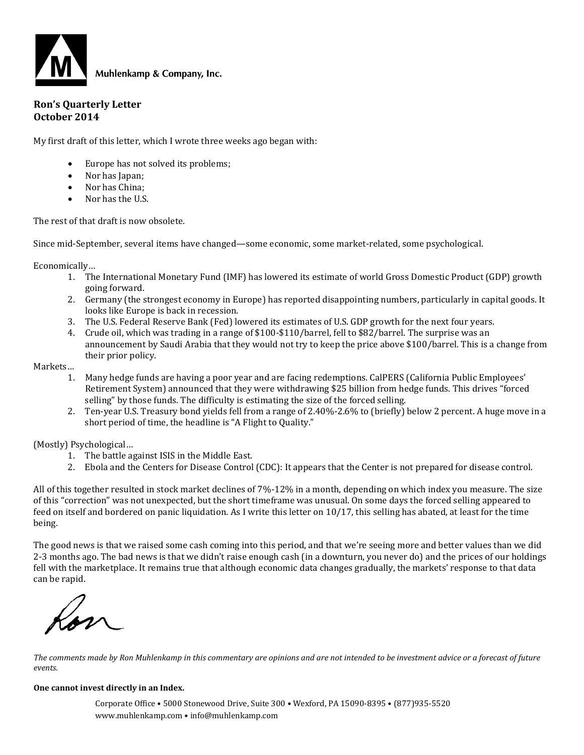

#### **Ron's Quarterly Letter October 2014**

My first draft of this letter, which I wrote three weeks ago began with:

- Europe has not solved its problems;
- Nor has Japan;
- Nor has China;
- Nor has the U.S.

The rest of that draft is now obsolete.

Since mid-September, several items have changed—some economic, some market-related, some psychological.

Economically…

- 1. The International Monetary Fund (IMF) has lowered its estimate of world Gross Domestic Product (GDP) growth going forward.
- 2. Germany (the strongest economy in Europe) has reported disappointing numbers, particularly in capital goods. It looks like Europe is back in recession.
- 3. The U.S. Federal Reserve Bank (Fed) lowered its estimates of U.S. GDP growth for the next four years.
- 4. Crude oil, which was trading in a range of \$100-\$110/barrel, fell to \$82/barrel. The surprise was an announcement by Saudi Arabia that they would not try to keep the price above \$100/barrel. This is a change from their prior policy.

Markets…

- 1. Many hedge funds are having a poor year and are facing redemptions. CalPERS (California Public Employees' Retirement System) announced that they were withdrawing \$25 billion from hedge funds. This drives "forced selling" by those funds. The difficulty is estimating the size of the forced selling.
- 2. Ten-year U.S. Treasury bond yields fell from a range of 2.40%-2.6% to (briefly) below 2 percent. A huge move in a short period of time, the headline is "A Flight to Quality."

(Mostly) Psychological…

- 1. The battle against ISIS in the Middle East.
- 2. Ebola and the Centers for Disease Control (CDC): It appears that the Center is not prepared for disease control.

All of this together resulted in stock market declines of 7%-12% in a month, depending on which index you measure. The size of this "correction" was not unexpected, but the short timeframe was unusual. On some days the forced selling appeared to feed on itself and bordered on panic liquidation. As I write this letter on 10/17, this selling has abated, at least for the time being.

The good news is that we raised some cash coming into this period, and that we're seeing more and better values than we did 2-3 months ago. The bad news is that we didn't raise enough cash (in a downturn, you never do) and the prices of our holdings fell with the marketplace. It remains true that although economic data changes gradually, the markets' response to that data can be rapid.

*The comments made by Ron Muhlenkamp in this commentary are opinions and are not intended to be investment advice or a forecast of future events.*

#### **One cannot invest directly in an Index.**

Corporate Office • 5000 Stonewood Drive, Suite 300 • Wexford, PA 15090-8395 • (877)935-5520 www.muhlenkamp.com • info@muhlenkamp.com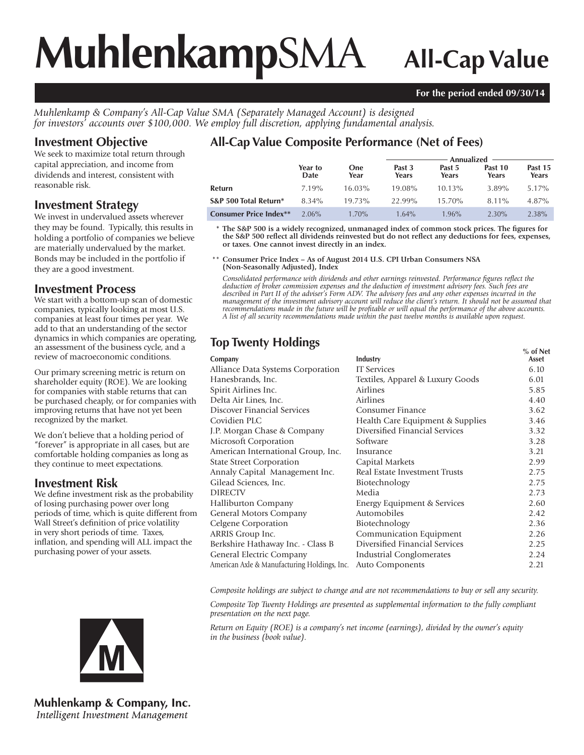# **Muhlenkamp**SMA **All-Cap Value**

#### **For the period ended 09/30/14**

*Muhlenkamp & Company's All-Cap Value SMA (Separately Managed Account) is designed for investors' accounts over \$100,000. We employ full discretion, applying fundamental analysis.*

## **Investment Objective**

We seek to maximize total return through capital appreciation, and income from dividends and interest, consistent with reasonable risk.

### **Investment Strategy**

We invest in undervalued assets wherever they may be found. Typically, this results in holding a portfolio of companies we believe are materially undervalued by the market. Bonds may be included in the portfolio if they are a good investment.

### **Investment Process**

We start with a bottom-up scan of domestic companies, typically looking at most U.S. companies at least four times per year. We add to that an understanding of the sector dynamics in which companies are operating, an assessment of the business cycle, and a review of macroeconomic conditions.

Our primary screening metric is return on shareholder equity (ROE). We are looking for companies with stable returns that can be purchased cheaply, or for companies with improving returns that have not yet been recognized by the market.

We don't believe that a holding period of "forever" is appropriate in all cases, but are comfortable holding companies as long as they continue to meet expectations.

# **Investment Risk**

We define investment risk as the probability of losing purchasing power over long periods of time, which is quite different from Wall Street's definition of price volatility in very short periods of time. Taxes, inflation, and spending will ALL impact the purchasing power of your assets.

# **All-Cap Value Composite Performance (Net of Fees)**

|                               |                 |                    | Annualized      |                 |                  |                  |  |
|-------------------------------|-----------------|--------------------|-----------------|-----------------|------------------|------------------|--|
|                               | Year to<br>Date | <b>One</b><br>Year | Past 3<br>Years | Past 5<br>Years | Past 10<br>Years | Past 15<br>Years |  |
| Refurn                        | 7.19%           | $16.03\%$          | 19.08%          | $10.13\%$       | 3.89%            | 5.17%            |  |
| S&P 500 Total Return*         | 8.34%           | 19.73%             | 22.99%          | 15.70%          | 8.11%            | 4.87%            |  |
| <b>Consumer Price Index**</b> | $2.06\%$        | $1.70\%$           | $1.64\%$        | $1.96\%$        | $2.30\%$         | 2.38%            |  |

 **\* The S&P 500 is a widely recognized, unmanaged index of common stock prices. The figures for the S&P 500 reflect all dividends reinvested but do not reflect any deductions for fees, expenses, or taxes. One cannot invest directly in an index.**

 \*\* **Consumer Price Index – As of August 2014 U.S. CPI Urban Consumers NSA (Non-Seasonally Adjusted), Index**

*Consolidated performance with dividends and other earnings reinvested. Performance figures reflect the deduction of broker commission expenses and the deduction of investment advisory fees. Such fees are described in Part II of the adviser's Form ADV. The advisory fees and any other expenses incurred in the management of the investment advisory account will reduce the client's return. It should not be assumed that recommendations made in the future will be profitable or will equal the performance of the above accounts. A list of all security recommendations made within the past twelve months is available upon request.*

# **Top Twenty Holdings Security 1999**

| Company                                      | Industry                         | % of Net<br>Asset |
|----------------------------------------------|----------------------------------|-------------------|
| Alliance Data Systems Corporation            | <b>IT Services</b>               | 6.10              |
| Hanesbrands, Inc.                            | Textiles, Apparel & Luxury Goods | 6.01              |
| Spirit Airlines Inc.                         | Airlines                         | 5.85              |
| Delta Air Lines, Inc.                        | Airlines                         | 4.40              |
| Discover Financial Services                  | Consumer Finance                 | 3.62              |
| Covidien PLC                                 | Health Care Equipment & Supplies | 3.46              |
| J.P. Morgan Chase & Company                  | Diversified Financial Services   | 3.32              |
| Microsoft Corporation                        | Software                         | 3.28              |
| American International Group, Inc.           | Insurance                        | 3.21              |
| <b>State Street Corporation</b>              | Capital Markets                  | 2.99              |
| Annaly Capital Management Inc.               | Real Estate Investment Trusts    | 2.75              |
| Gilead Sciences, Inc.                        | Biotechnology                    | 2.75              |
| <b>DIRECTV</b>                               | Media                            | 2.73              |
| <b>Halliburton Company</b>                   | Energy Equipment & Services      | 2.60              |
| General Motors Company                       | Automobiles                      | 2.42              |
| Celgene Corporation                          | Biotechnology                    | 2.36              |
| ARRIS Group Inc.                             | Communication Equipment          | 2.26              |
| Berkshire Hathaway Inc. - Class B            | Diversified Financial Services   | 2.25              |
| General Electric Company                     | Industrial Conglomerates         | 2.24              |
| American Axle & Manufacturing Holdings, Inc. | Auto Components                  | 2.21              |
|                                              |                                  |                   |

*Composite holdings are subject to change and are not recommendations to buy or sell any security.*

*Composite Top Twenty Holdings are presented as supplemental information to the fully compliant presentation on the next page.*

*Return on Equity (ROE) is a company's net income (earnings), divided by the owner's equity in the business (book value).*



**Muhlenkamp & Company, Inc.** Intelligent Investment Management